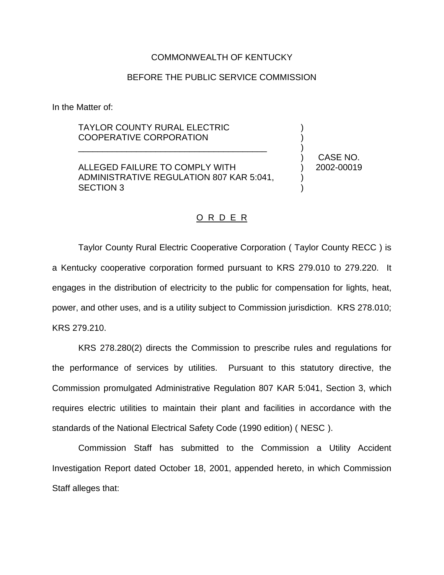## COMMONWEALTH OF KENTUCKY

## BEFORE THE PUBLIC SERVICE COMMISSION

In the Matter of:

## TAYLOR COUNTY RURAL ELECTRIC COOPERATIVE CORPORATION

ALLEGED FAILURE TO COMPLY WITH ADMINISTRATIVE REGULATION 807 KAR 5:041, SECTION 3

\_\_\_\_\_\_\_\_\_\_\_\_\_\_\_\_\_\_\_\_\_\_\_\_\_\_\_\_\_\_\_\_\_\_\_\_\_\_\_

) CASE NO. ) 2002-00019

) ) )

) )

## O R D E R

Taylor County Rural Electric Cooperative Corporation ( Taylor County RECC ) is a Kentucky cooperative corporation formed pursuant to KRS 279.010 to 279.220. It engages in the distribution of electricity to the public for compensation for lights, heat, power, and other uses, and is a utility subject to Commission jurisdiction. KRS 278.010; KRS 279.210.

KRS 278.280(2) directs the Commission to prescribe rules and regulations for the performance of services by utilities. Pursuant to this statutory directive, the Commission promulgated Administrative Regulation 807 KAR 5:041, Section 3, which requires electric utilities to maintain their plant and facilities in accordance with the standards of the National Electrical Safety Code (1990 edition) ( NESC ).

Commission Staff has submitted to the Commission a Utility Accident Investigation Report dated October 18, 2001, appended hereto, in which Commission Staff alleges that: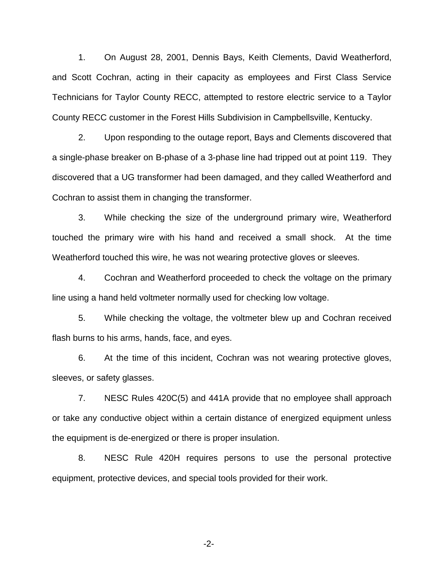1. On August 28, 2001, Dennis Bays, Keith Clements, David Weatherford, and Scott Cochran, acting in their capacity as employees and First Class Service Technicians for Taylor County RECC, attempted to restore electric service to a Taylor County RECC customer in the Forest Hills Subdivision in Campbellsville, Kentucky.

2. Upon responding to the outage report, Bays and Clements discovered that a single-phase breaker on B-phase of a 3-phase line had tripped out at point 119. They discovered that a UG transformer had been damaged, and they called Weatherford and Cochran to assist them in changing the transformer.

3. While checking the size of the underground primary wire, Weatherford touched the primary wire with his hand and received a small shock. At the time Weatherford touched this wire, he was not wearing protective gloves or sleeves.

4. Cochran and Weatherford proceeded to check the voltage on the primary line using a hand held voltmeter normally used for checking low voltage.

5. While checking the voltage, the voltmeter blew up and Cochran received flash burns to his arms, hands, face, and eyes.

6. At the time of this incident, Cochran was not wearing protective gloves, sleeves, or safety glasses.

7. NESC Rules 420C(5) and 441A provide that no employee shall approach or take any conductive object within a certain distance of energized equipment unless the equipment is de-energized or there is proper insulation.

8. NESC Rule 420H requires persons to use the personal protective equipment, protective devices, and special tools provided for their work.

-2-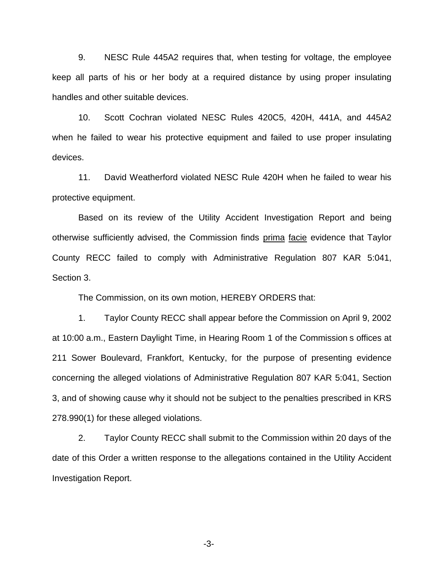9. NESC Rule 445A2 requires that, when testing for voltage, the employee keep all parts of his or her body at a required distance by using proper insulating handles and other suitable devices.

10. Scott Cochran violated NESC Rules 420C5, 420H, 441A, and 445A2 when he failed to wear his protective equipment and failed to use proper insulating devices.

11. David Weatherford violated NESC Rule 420H when he failed to wear his protective equipment.

Based on its review of the Utility Accident Investigation Report and being otherwise sufficiently advised, the Commission finds prima facie evidence that Taylor County RECC failed to comply with Administrative Regulation 807 KAR 5:041, Section 3.

The Commission, on its own motion, HEREBY ORDERS that:

1. Taylor County RECC shall appear before the Commission on April 9, 2002 at 10:00 a.m., Eastern Daylight Time, in Hearing Room 1 of the Commission s offices at 211 Sower Boulevard, Frankfort, Kentucky, for the purpose of presenting evidence concerning the alleged violations of Administrative Regulation 807 KAR 5:041, Section 3, and of showing cause why it should not be subject to the penalties prescribed in KRS 278.990(1) for these alleged violations.

2. Taylor County RECC shall submit to the Commission within 20 days of the date of this Order a written response to the allegations contained in the Utility Accident Investigation Report.

-3-